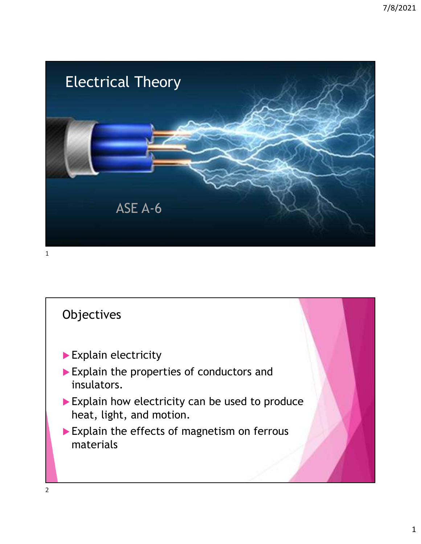

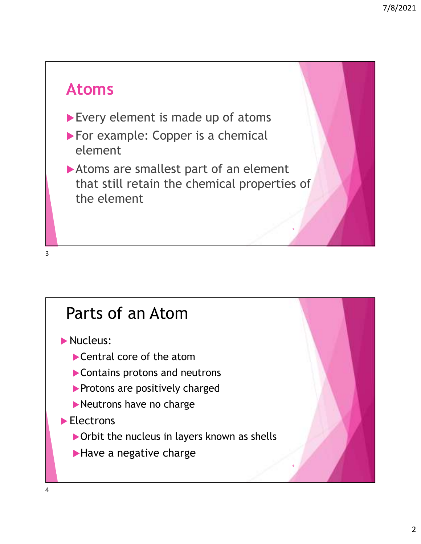# **Atoms**

- Every element is made up of atoms
- For example: Copper is a chemical element
- Atoms are smallest part of an element that still retain the chemical properties of the element

3

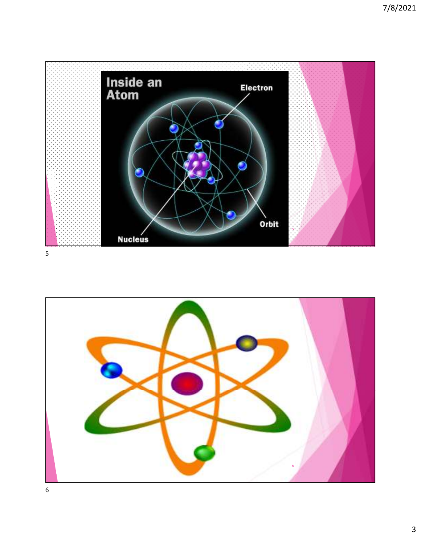

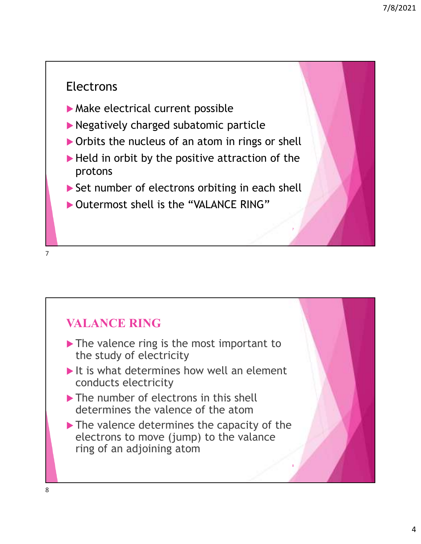#### Electrons

- Make electrical current possible
- Negatively charged subatomic particle
- ▶ Orbits the nucleus of an atom in rings or shell
- $\blacktriangleright$  Held in orbit by the positive attraction of the protons
- Set number of electrons orbiting in each shell

7

8

▶ Outermost shell is the "VALANCE RING"

7

#### **VALANCE RING**

- The valence ring is the most important to the study of electricity
- $\blacktriangleright$  It is what determines how well an element conducts electricity
- The number of electrons in this shell determines the valence of the atom
- The valence determines the capacity of the electrons to move (jump) to the valance ring of an adjoining atom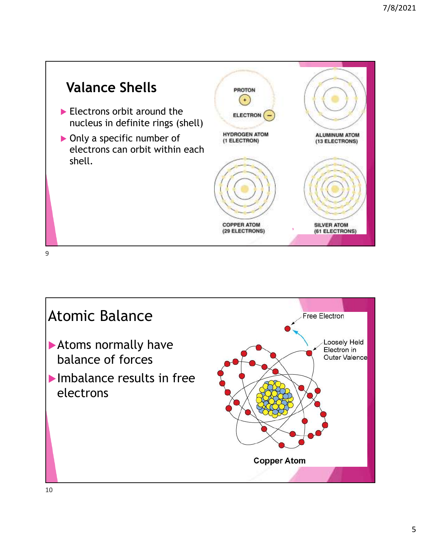![](_page_4_Figure_1.jpeg)

![](_page_4_Picture_2.jpeg)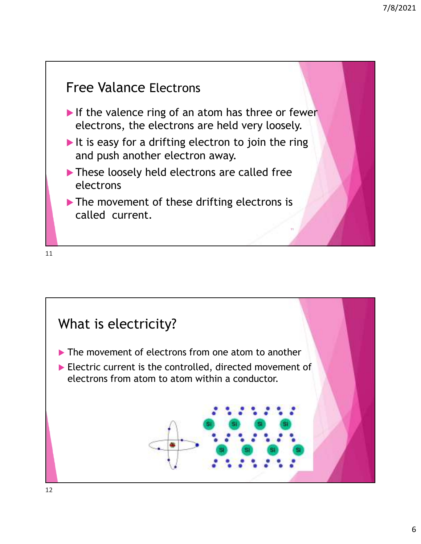## Free Valance Electrons If the valence ring of an atom has three or fewer electrons, the electrons are held very loosely. It is easy for a drifting electron to join the ring and push another electron away. These loosely held electrons are called free electrons The movement of these drifting electrons is called current. 11

![](_page_5_Figure_3.jpeg)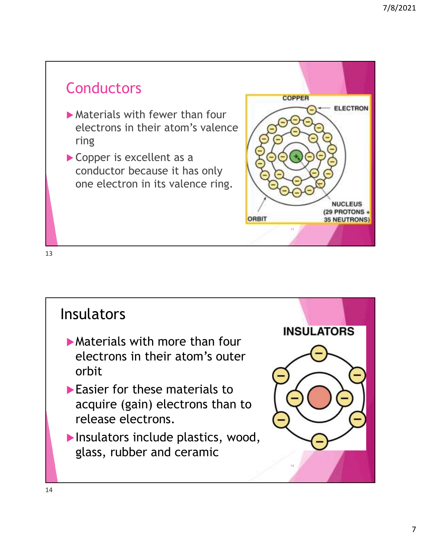## **Conductors**

- Materials with fewer than four electrons in their atom's valence ring
- Copper is excellent as a conductor because it has only one electron in its valence ring.

![](_page_6_Picture_4.jpeg)

![](_page_6_Picture_6.jpeg)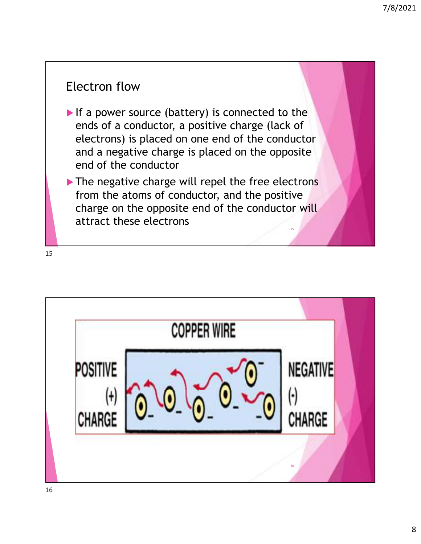#### Electron flow

- If a power source (battery) is connected to the ends of a conductor, a positive charge (lack of electrons) is placed on one end of the conductor and a negative charge is placed on the opposite end of the conductor
- The negative charge will repel the free electrons from the atoms of conductor, and the positive charge on the opposite end of the conductor will attract these electrons 15

![](_page_7_Figure_5.jpeg)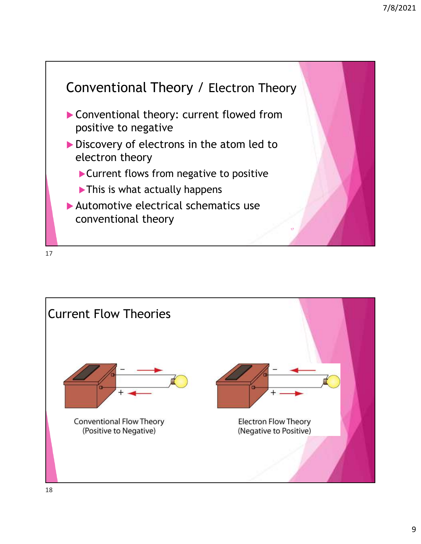![](_page_8_Figure_1.jpeg)

![](_page_8_Picture_3.jpeg)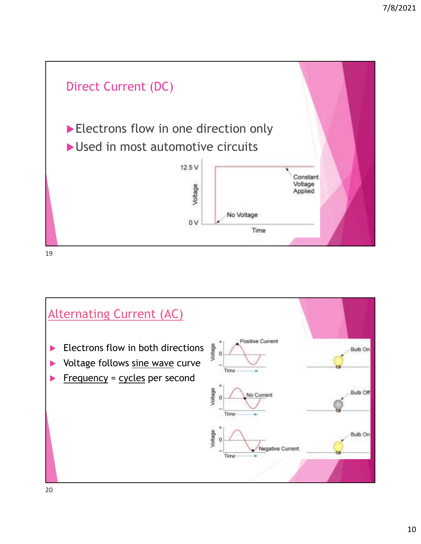![](_page_9_Figure_1.jpeg)

![](_page_9_Figure_3.jpeg)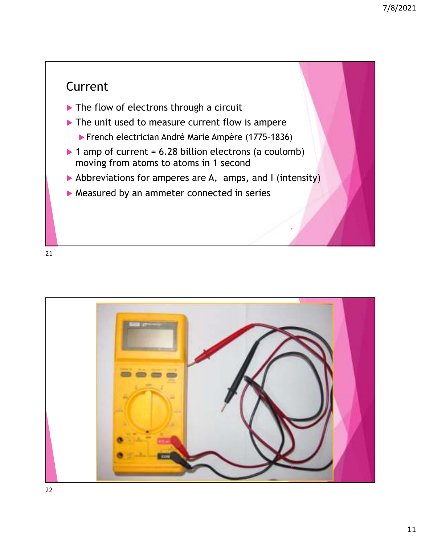### Current

- ▶ The flow of electrons through a circuit
- ▶ The unit used to measure current flow is ampere
	- French electrician André Marie Ampère (1775–1836)
- $\triangleright$  1 amp of current = 6.28 billion electrons (a coulomb) moving from atoms to atoms in 1 second
- Abbreviations for amperes are A*,* amps, and I (intensity)

21

▶ Measured by an ammeter connected in series

![](_page_10_Picture_9.jpeg)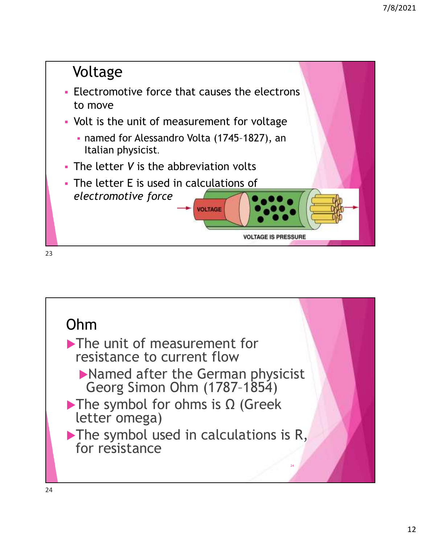![](_page_11_Figure_1.jpeg)

![](_page_11_Picture_2.jpeg)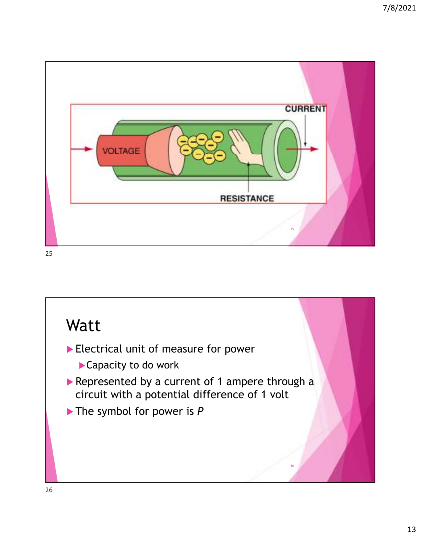![](_page_12_Picture_1.jpeg)

![](_page_12_Picture_3.jpeg)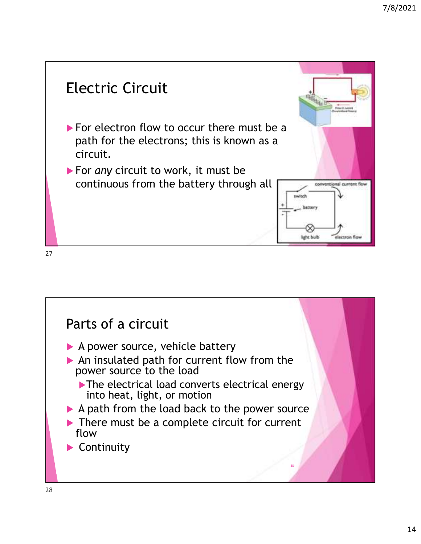![](_page_13_Figure_1.jpeg)

![](_page_13_Picture_3.jpeg)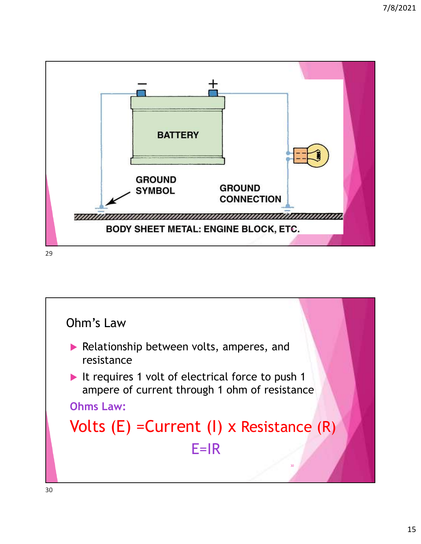![](_page_14_Figure_1.jpeg)

![](_page_14_Figure_2.jpeg)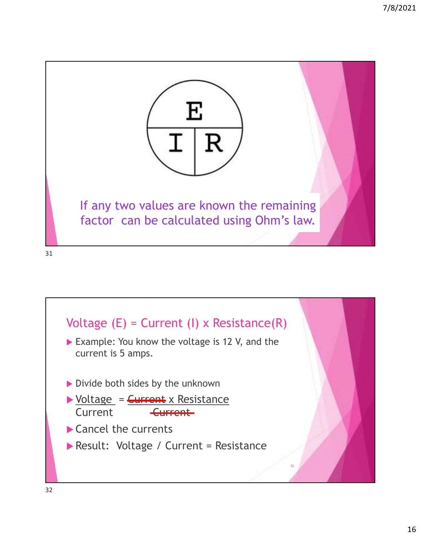![](_page_15_Picture_1.jpeg)

![](_page_15_Figure_2.jpeg)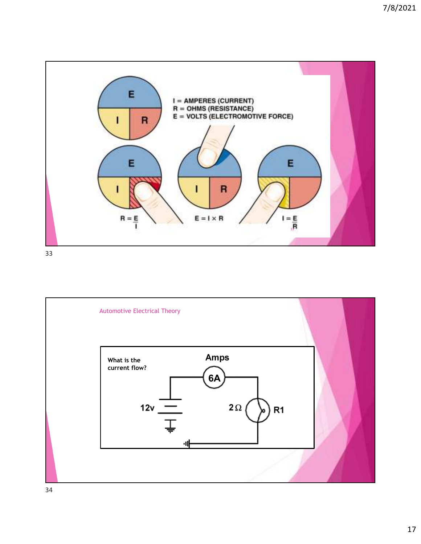![](_page_16_Figure_1.jpeg)

![](_page_16_Figure_3.jpeg)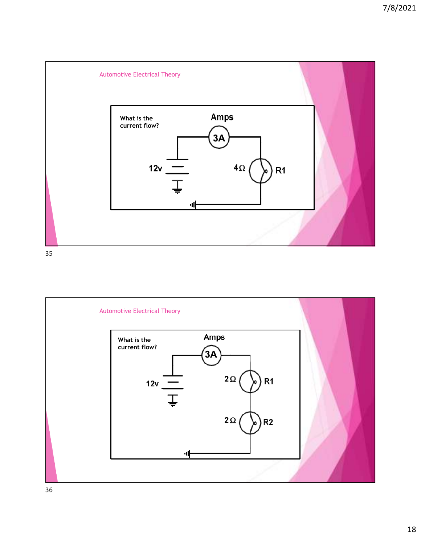![](_page_17_Figure_1.jpeg)

![](_page_17_Figure_3.jpeg)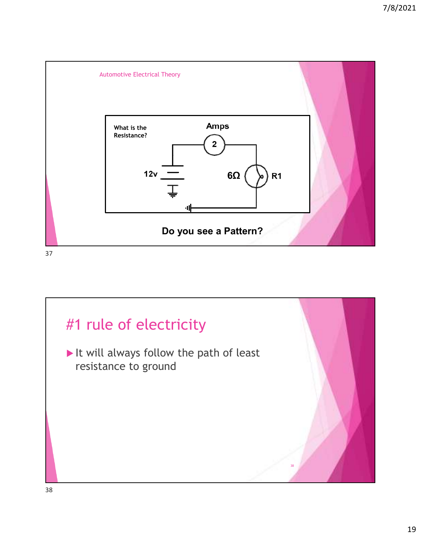![](_page_18_Figure_1.jpeg)

![](_page_18_Picture_2.jpeg)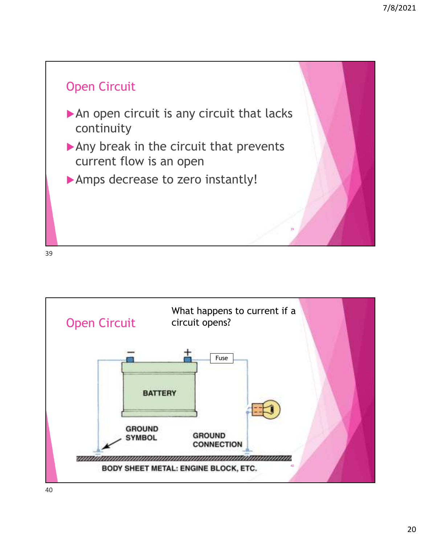![](_page_19_Figure_1.jpeg)

![](_page_19_Figure_2.jpeg)

![](_page_19_Figure_3.jpeg)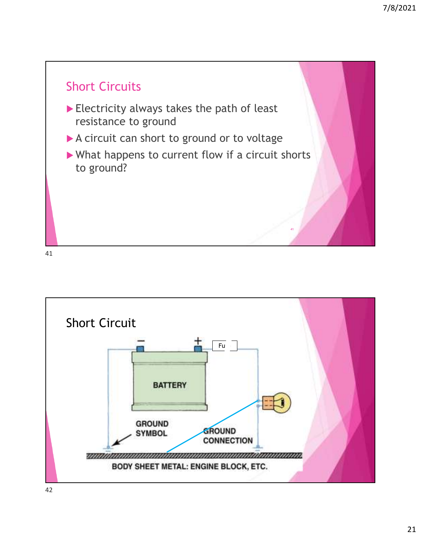![](_page_20_Figure_1.jpeg)

![](_page_20_Figure_3.jpeg)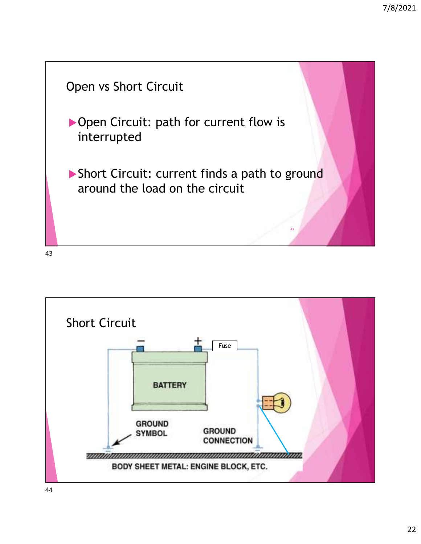![](_page_21_Figure_1.jpeg)

![](_page_21_Figure_2.jpeg)